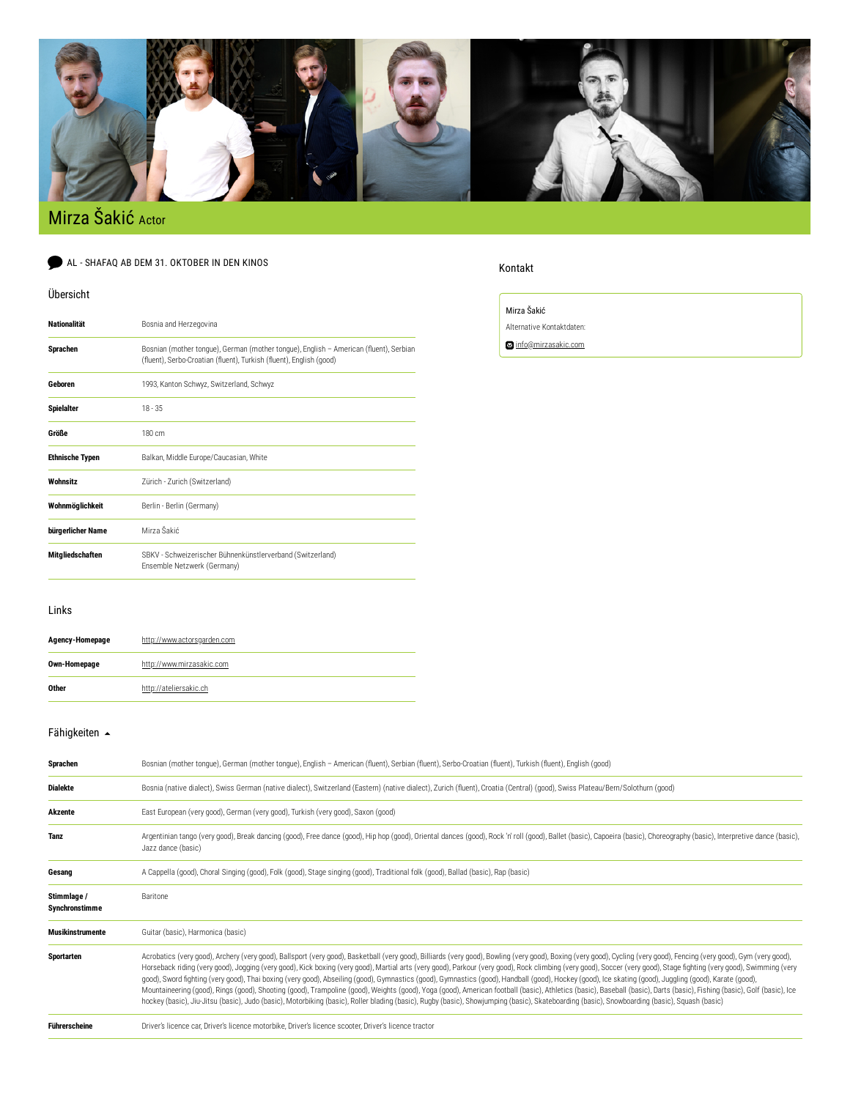

# Mirza Šakić Actor

AL - SHAFAQ AB DEM 31. OKTOBER IN DEN KINOS

### Übersicht

| <b>Nationalität</b>    | Bosnia and Herzegovina                                                                                                                                       |  |  |
|------------------------|--------------------------------------------------------------------------------------------------------------------------------------------------------------|--|--|
| <b>Sprachen</b>        | Bosnian (mother tongue), German (mother tongue), English - American (fluent), Serbian<br>(fluent), Serbo-Croatian (fluent), Turkish (fluent), English (good) |  |  |
| Geboren                | 1993, Kanton Schwyz, Switzerland, Schwyz                                                                                                                     |  |  |
| <b>Spielalter</b>      | $18 - 35$                                                                                                                                                    |  |  |
| Größe                  | 180 cm                                                                                                                                                       |  |  |
| <b>Ethnische Typen</b> | Balkan, Middle Europe/Caucasian, White                                                                                                                       |  |  |
| Wohnsitz               | Zürich - Zurich (Switzerland)                                                                                                                                |  |  |
| Wohnmöglichkeit        | Berlin - Berlin (Germany)                                                                                                                                    |  |  |
| bürgerlicher Name      | Mirza Šakić                                                                                                                                                  |  |  |
| Mitgliedschaften       | SBKV - Schweizerischer Bühnenkünstlerverband (Switzerland)<br>Ensemble Netzwerk (Germany)                                                                    |  |  |

## Kontakt

Mirza Šakić

Alternative Kontaktdaten:

[info@mirzasakic.com](mailto:info@mirzasakic.com)

## Links

| Agency-Homepage | http://www.actorsgarden.com |
|-----------------|-----------------------------|
| Own-Homepage    | http://www.mirzasakic.com   |
| Other           | http://ateliersakic.ch      |

## [Fähigkeiten](https://www.castforward.de/members/) <br/>  $\blacktriangle$

| Sprachen                      | Bosnian (mother tonque), German (mother tonque), English - American (fluent), Serbian (fluent), Serbo-Croatian (fluent), Turkish (fluent), English (good)                                                                                                                                                                                                                                                                                                                                                                                                                                                                                                                                                                                                                                                                                                                                                                                                                                                                                                                                                            |  |  |
|-------------------------------|----------------------------------------------------------------------------------------------------------------------------------------------------------------------------------------------------------------------------------------------------------------------------------------------------------------------------------------------------------------------------------------------------------------------------------------------------------------------------------------------------------------------------------------------------------------------------------------------------------------------------------------------------------------------------------------------------------------------------------------------------------------------------------------------------------------------------------------------------------------------------------------------------------------------------------------------------------------------------------------------------------------------------------------------------------------------------------------------------------------------|--|--|
| <b>Dialekte</b>               | Bosnia (native dialect), Swiss German (native dialect), Switzerland (Eastern) (native dialect), Zurich (fluent), Croatia (Central) (good), Swiss Plateau/Bern/Solothurn (good)                                                                                                                                                                                                                                                                                                                                                                                                                                                                                                                                                                                                                                                                                                                                                                                                                                                                                                                                       |  |  |
| <b>Akzente</b>                | East European (very good), German (very good), Turkish (very good), Saxon (good)                                                                                                                                                                                                                                                                                                                                                                                                                                                                                                                                                                                                                                                                                                                                                                                                                                                                                                                                                                                                                                     |  |  |
| <b>Tanz</b>                   | Argentinian tango (very good), Break dancing (good), Free dance (good), Hip hop (good), Oriental dances (good), Rock 'n' roll (good), Ballet (basic), Capoeira (basic), Choreography (basic), Interpretive dance (basic),<br>Jazz dance (basic)                                                                                                                                                                                                                                                                                                                                                                                                                                                                                                                                                                                                                                                                                                                                                                                                                                                                      |  |  |
| Gesang                        | A Cappella (good), Choral Singing (good), Folk (good), Stage singing (good), Traditional folk (good), Ballad (basic), Rap (basic)                                                                                                                                                                                                                                                                                                                                                                                                                                                                                                                                                                                                                                                                                                                                                                                                                                                                                                                                                                                    |  |  |
| Stimmlage /<br>Synchronstimme | Baritone                                                                                                                                                                                                                                                                                                                                                                                                                                                                                                                                                                                                                                                                                                                                                                                                                                                                                                                                                                                                                                                                                                             |  |  |
| <b>Musikinstrumente</b>       | Guitar (basic), Harmonica (basic)                                                                                                                                                                                                                                                                                                                                                                                                                                                                                                                                                                                                                                                                                                                                                                                                                                                                                                                                                                                                                                                                                    |  |  |
| Sportarten                    | Acrobatics (very good), Archery (very good), Ballsport (very good), Basketball (very good), Billiards (very good), Bowling (very good), Boxing (very good), Cycling (very good), Fencing (very good), Gom (very good), Gym (ve<br>Horseback riding (very good), Jogging (very good), Kick boxing (very good), Martial arts (very good), Parkour (very good), Rock climbing (very good), Soccer (very good), Stage fighting (very good), Swimming (very<br>good), Sword fighting (very good), Thai boxing (very good), Abseiling (good), Gymnastics (good), Gymnastics (good), Handball (good), Hockey (good), Ice skating (good), Juggling (good), Karate (good), Zuggling (good), Karat<br>Mountaineering (good), Rings (good), Shooting (good), Trampoline (good), Weights (good), Yoga (good), American football (basic), Athletics (basic), Baseball (basic), Darts (basic), Fishing (basic), Golf (basic), Ice<br>hockey (basic), Jiu-Jitsu (basic), Judo (basic), Motorbiking (basic), Roller blading (basic), Rugby (basic), Showjumping (basic), Skateboarding (basic), Snowboarding (basic), Squash (basic) |  |  |
| <b>Führerscheine</b>          | Driver's licence car, Driver's licence motorbike, Driver's licence scooter, Driver's licence tractor                                                                                                                                                                                                                                                                                                                                                                                                                                                                                                                                                                                                                                                                                                                                                                                                                                                                                                                                                                                                                 |  |  |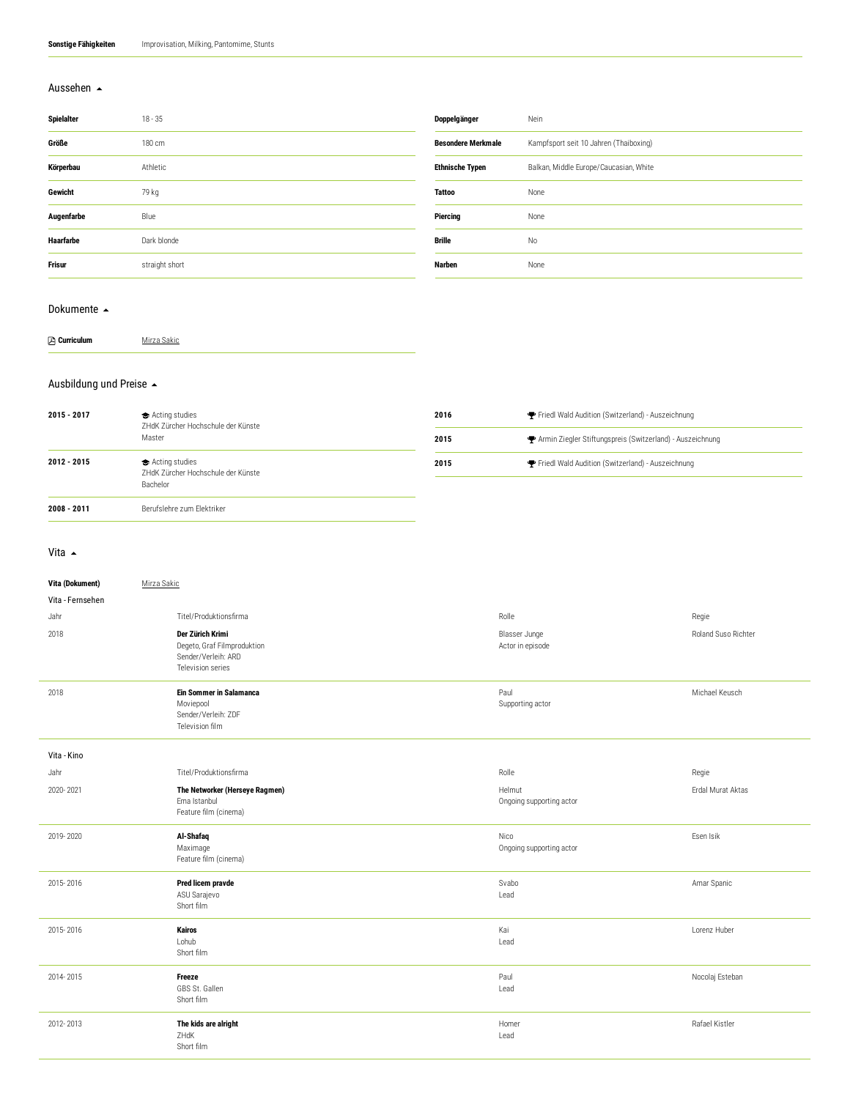#### [Aussehen](https://www.castforward.de/members/)

| <b>Spielalter</b> | $18 - 35$      | Doppelgänger              | Nein                                   |
|-------------------|----------------|---------------------------|----------------------------------------|
| Größe             | 180 cm         | <b>Besondere Merkmale</b> | Kampfsport seit 10 Jahren (Thaiboxing) |
| Körperbau         | Athletic       | <b>Ethnische Typen</b>    | Balkan, Middle Europe/Caucasian, White |
| Gewicht           | 79 kg          | <b>Tattoo</b>             | None                                   |
| Augenfarbe        | Blue           | <b>Piercing</b>           | None                                   |
| Haarfarbe         | Dark blonde    | Brille                    | No                                     |
| <b>Frisur</b>     | straight short | Narben                    | None                                   |
|                   |                |                           |                                        |

#### [Dokumente](https://www.castforward.de/members/) ▲

| <b>A</b> Curriculum | Mirza Sakic |
|---------------------|-------------|
|                     |             |

#### [Ausbildung](https://www.castforward.de/members/) und Preise

| 2015 - 2017 | Acting studies<br>ZHdK Zürcher Hochschule der Künste<br>Master   | 2016 | Friedl Wald Audition (Switzerland) - Auszeichnung           |
|-------------|------------------------------------------------------------------|------|-------------------------------------------------------------|
|             |                                                                  | 2015 | ← Armin Ziegler Stiftungspreis (Switzerland) - Auszeichnung |
| 2012 - 2015 | Acting studies<br>ZHdK Zürcher Hochschule der Künste<br>Bachelor | 2015 | Friedl Wald Audition (Switzerland) - Auszeichnung           |
|             |                                                                  |      |                                                             |
| 2008 - 2011 | Berufslehre zum Elektriker                                       |      |                                                             |

#### [Vita](https://www.castforward.de/members/)  $\triangle$

| Vita (Dokument)  | Mirza Sakic                                                                                 |                                    |                     |
|------------------|---------------------------------------------------------------------------------------------|------------------------------------|---------------------|
| Vita - Fernsehen |                                                                                             |                                    |                     |
| Jahr             | Titel/Produktionsfirma                                                                      | Rolle                              | Regie               |
| 2018             | Der Zürich Krimi<br>Degeto, Graf Filmproduktion<br>Sender/Verleih: ARD<br>Television series | Blasser Junge<br>Actor in episode  | Roland Suso Richter |
| 2018             | Ein Sommer in Salamanca<br>Moviepool<br>Sender/Verleih: ZDF<br>Television film              | Paul<br>Supporting actor           | Michael Keusch      |
| Vita - Kino      |                                                                                             |                                    |                     |
| Jahr             | Titel/Produktionsfirma                                                                      | Rolle                              | Regie               |
| 2020-2021        | The Networker (Herseye Ragmen)<br>Ema Istanbul<br>Feature film (cinema)                     | Helmut<br>Ongoing supporting actor | Erdal Murat Aktas   |
| 2019-2020        | Al-Shafaq<br>Maximage<br>Feature film (cinema)                                              | Nico<br>Ongoing supporting actor   | Esen Isik           |
| 2015-2016        | Pred licem pravde<br>ASU Sarajevo<br>Short film                                             | Svabo<br>Lead                      | Amar Spanic         |
| 2015-2016        | Kairos<br>Lohub<br>Short film                                                               | Kai<br>Lead                        | Lorenz Huber        |
| 2014-2015        | Freeze<br>GBS St. Gallen<br>Short film                                                      | Paul<br>Lead                       | Nocolaj Esteban     |
| 2012-2013        | The kids are alright<br>ZHdK<br>Short film                                                  | Homer<br>Lead                      | Rafael Kistler      |